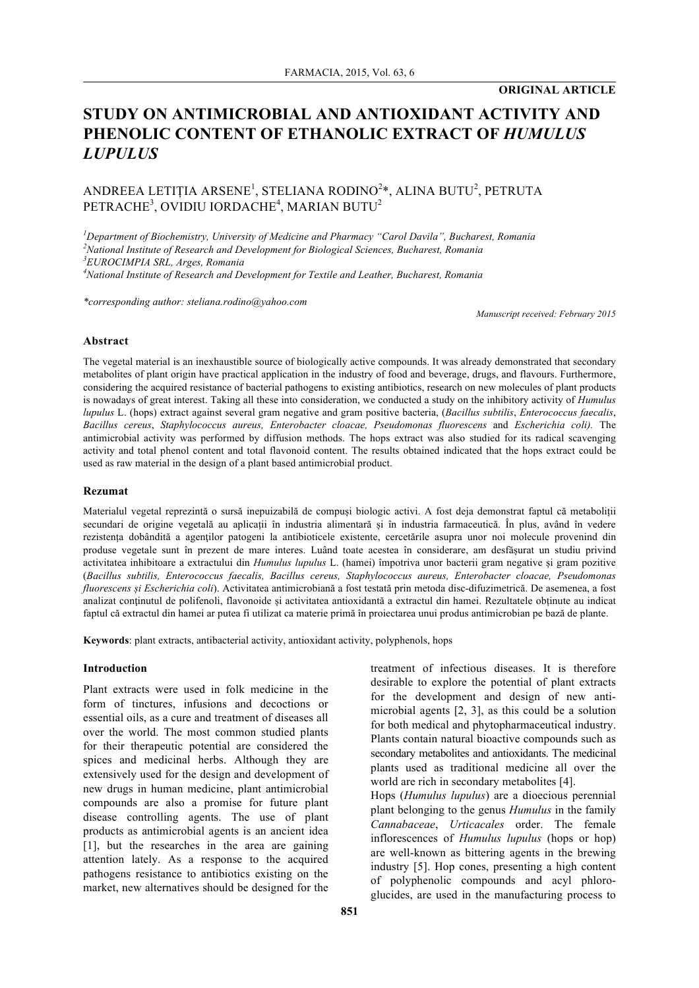### **ORIGINAL ARTICLE**

# **STUDY ON ANTIMICROBIAL AND ANTIOXIDANT ACTIVITY AND PHENOLIC CONTENT OF ETHANOLIC EXTRACT OF** *HUMULUS LUPULUS*

## ANDREEA LETIȚIA ARSENE<sup>1</sup>, STELIANA RODINO<sup>2</sup>\*, ALINA BUTU<sup>2</sup>, PETRUTA  $\mathrm{PETRACHE}^3$ , OVIDIU IORDACHE $^4$ , MARIAN BUTU $^2$

*1 Department of Biochemistry, University of Medicine and Pharmacy "Carol Davila", Bucharest, Romania*

*2 National Institute of Research and Development for Biological Sciences, Bucharest, Romania*

*3 EUROCIMPIA SRL, Arges, Romania*

*4 National Institute of Research and Development for Textile and Leather, Bucharest, Romania*

*\*corresponding author: steliana.rodino@yahoo.com*

*Manuscript received: February 2015*

#### **Abstract**

The vegetal material is an inexhaustible source of biologically active compounds. It was already demonstrated that secondary metabolites of plant origin have practical application in the industry of food and beverage, drugs, and flavours. Furthermore, considering the acquired resistance of bacterial pathogens to existing antibiotics, research on new molecules of plant products is nowadays of great interest. Taking all these into consideration, we conducted a study on the inhibitory activity of *Humulus lupulus* L. (hops) extract against several gram negative and gram positive bacteria, (*Bacillus subtilis*, *Enterococcus faecalis*, *Bacillus cereus*, *Staphylococcus aureus, Enterobacter cloacae, Pseudomonas fluorescens* and *Escherichia coli).* The antimicrobial activity was performed by diffusion methods. The hops extract was also studied for its radical scavenging activity and total phenol content and total flavonoid content. The results obtained indicated that the hops extract could be used as raw material in the design of a plant based antimicrobial product.

#### **Rezumat**

Materialul vegetal reprezintă o sursă inepuizabilă de compuși biologic activi. A fost deja demonstrat faptul că metaboliții secundari de origine vegetală au aplicații în industria alimentară și în industria farmaceutică. În plus, având în vedere rezistența dobândită a agenţilor patogeni la antibioticele existente, cercetările asupra unor noi molecule provenind din produse vegetale sunt în prezent de mare interes. Luând toate acestea în considerare, am desfășurat un studiu privind activitatea inhibitoare a extractului din *Humulus lupulus* L. (hamei) împotriva unor bacterii gram negative și gram pozitive (*Bacillus subtilis, Enterococcus faecalis, Bacillus cereus, Staphylococcus aureus, Enterobacter cloacae, Pseudomonas fluorescens și Escherichia coli*). Activitatea antimicrobiană a fost testată prin metoda disc-difuzimetrică. De asemenea, a fost analizat conţinutul de polifenoli, flavonoide și activitatea antioxidantă a extractul din hamei. Rezultatele obținute au indicat faptul că extractul din hamei ar putea fi utilizat ca materie primă în proiectarea unui produs antimicrobian pe bază de plante.

**Keywords**: plant extracts, antibacterial activity, antioxidant activity, polyphenols, hops

#### **Introduction**

Plant extracts were used in folk medicine in the form of tinctures, infusions and decoctions or essential oils, as a cure and treatment of diseases all over the world. The most common studied plants for their therapeutic potential are considered the spices and medicinal herbs. Although they are extensively used for the design and development of new drugs in human medicine, plant antimicrobial compounds are also a promise for future plant disease controlling agents. The use of plant products as antimicrobial agents is an ancient idea [1], but the researches in the area are gaining attention lately. As a response to the acquired pathogens resistance to antibiotics existing on the market, new alternatives should be designed for the treatment of infectious diseases. It is therefore desirable to explore the potential of plant extracts for the development and design of new antimicrobial agents [2, 3], as this could be a solution for both medical and phytopharmaceutical industry. Plants contain natural bioactive compounds such as secondary metabolites and antioxidants. The medicinal plants used as traditional medicine all over the world are rich in secondary metabolites [4]. Hops (*Humulus lupulus*) are a dioecious perennial plant belonging to the genus *Humulus* in the family *Cannabaceae*, *Urticacales* order. The female inflorescences of *Humulus lupulus* (hops or hop) are well-known as bittering agents in the brewing industry [5]. Hop cones, presenting a high content of polyphenolic compounds and acyl phloroglucides, are used in the manufacturing process to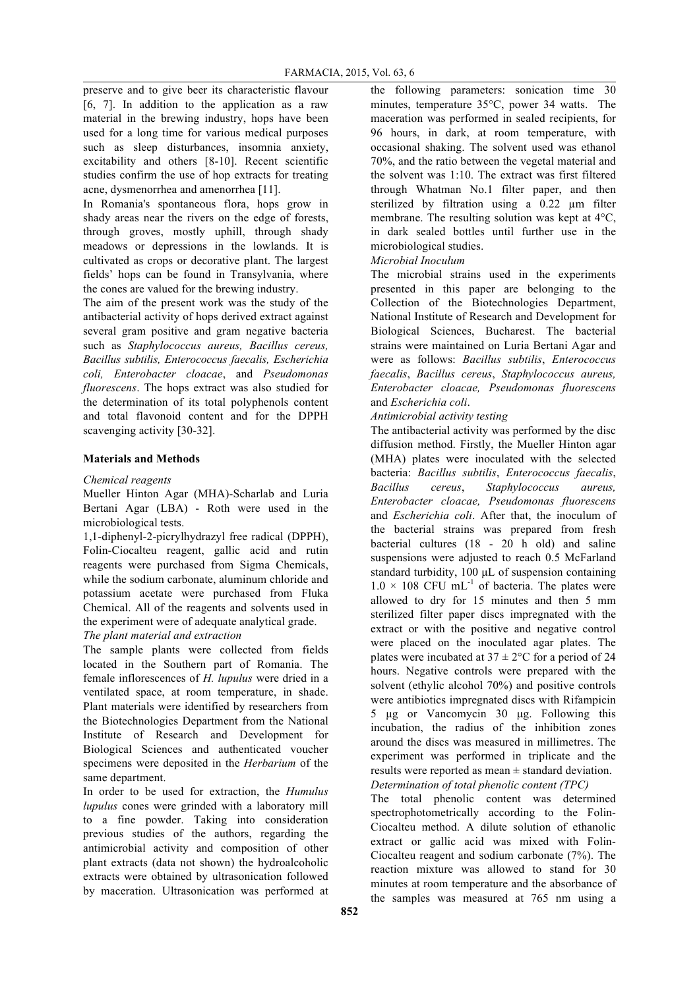preserve and to give beer its characteristic flavour [6, 7]. In addition to the application as a raw material in the brewing industry, hops have been used for a long time for various medical purposes such as sleep disturbances, insomnia anxiety, excitability and others [8-10]. Recent scientific studies confirm the use of hop extracts for treating acne, dysmenorrhea and amenorrhea [11].

In Romania's spontaneous flora, hops grow in shady areas near the rivers on the edge of forests, through groves, mostly uphill, through shady meadows or depressions in the lowlands. It is cultivated as crops or decorative plant. The largest fields' hops can be found in Transylvania, where the cones are valued for the brewing industry.

The aim of the present work was the study of the antibacterial activity of hops derived extract against several gram positive and gram negative bacteria such as *Staphylococcus aureus, Bacillus cereus, Bacillus subtilis, Enterococcus faecalis, Escherichia coli, Enterobacter cloacae*, and *Pseudomonas fluorescens*. The hops extract was also studied for the determination of its total polyphenols content and total flavonoid content and for the DPPH scavenging activity [30-32].

### **Materials and Methods**

### *Chemical reagents*

Mueller Hinton Agar (MHA)-Scharlab and Luria Bertani Agar (LBA) - Roth were used in the microbiological tests.

1,1-diphenyl-2-picrylhydrazyl free radical (DPPH), Folin-Ciocalteu reagent, gallic acid and rutin reagents were purchased from Sigma Chemicals, while the sodium carbonate, aluminum chloride and potassium acetate were purchased from Fluka Chemical. All of the reagents and solvents used in the experiment were of adequate analytical grade.

*The plant material and extraction*

The sample plants were collected from fields located in the Southern part of Romania. The female inflorescences of *H. lupulus* were dried in a ventilated space, at room temperature, in shade. Plant materials were identified by researchers from the Biotechnologies Department from the National Institute of Research and Development for Biological Sciences and authenticated voucher specimens were deposited in the *Herbarium* of the same department.

In order to be used for extraction, the *Humulus lupulus* cones were grinded with a laboratory mill to a fine powder. Taking into consideration previous studies of the authors, regarding the antimicrobial activity and composition of other plant extracts (data not shown) the hydroalcoholic extracts were obtained by ultrasonication followed by maceration. Ultrasonication was performed at the following parameters: sonication time 30 minutes, temperature 35°C, power 34 watts. The maceration was performed in sealed recipients, for 96 hours, in dark, at room temperature, with occasional shaking. The solvent used was ethanol 70%, and the ratio between the vegetal material and the solvent was 1:10. The extract was first filtered through Whatman No.1 filter paper, and then sterilized by filtration using a 0.22 µm filter membrane. The resulting solution was kept at 4°C, in dark sealed bottles until further use in the microbiological studies.

### *Microbial Inoculum*

The microbial strains used in the experiments presented in this paper are belonging to the Collection of the Biotechnologies Department, National Institute of Research and Development for Biological Sciences, Bucharest. The bacterial strains were maintained on Luria Bertani Agar and were as follows: *Bacillus subtilis*, *Enterococcus faecalis*, *Bacillus cereus*, *Staphylococcus aureus, Enterobacter cloacae, Pseudomonas fluorescens* and *Escherichia coli*.

### *Antimicrobial activity testing*

The antibacterial activity was performed by the disc diffusion method. Firstly, the Mueller Hinton agar (MHA) plates were inoculated with the selected bacteria: *Bacillus subtilis*, *Enterococcus faecalis*, *Bacillus cereus*, *Staphylococcus aureus, Enterobacter cloacae, Pseudomonas fluorescens* and *Escherichia coli*. After that, the inoculum of the bacterial strains was prepared from fresh bacterial cultures (18 - 20 h old) and saline suspensions were adjusted to reach 0.5 McFarland standard turbidity, 100 µL of suspension containing  $1.0 \times 108$  CFU mL<sup>-1</sup> of bacteria. The plates were allowed to dry for 15 minutes and then 5 mm sterilized filter paper discs impregnated with the extract or with the positive and negative control were placed on the inoculated agar plates. The plates were incubated at  $37 \pm 2$ °C for a period of 24 hours. Negative controls were prepared with the solvent (ethylic alcohol 70%) and positive controls were antibiotics impregnated discs with Rifampicin 5 µg or Vancomycin 30 µg. Following this incubation, the radius of the inhibition zones around the discs was measured in millimetres. The experiment was performed in triplicate and the results were reported as mean ± standard deviation. *Determination of total phenolic content (TPC)* 

The total phenolic content was determined spectrophotometrically according to the Folin-Ciocalteu method. A dilute solution of ethanolic extract or gallic acid was mixed with Folin-Ciocalteu reagent and sodium carbonate (7%). The reaction mixture was allowed to stand for 30 minutes at room temperature and the absorbance of the samples was measured at 765 nm using a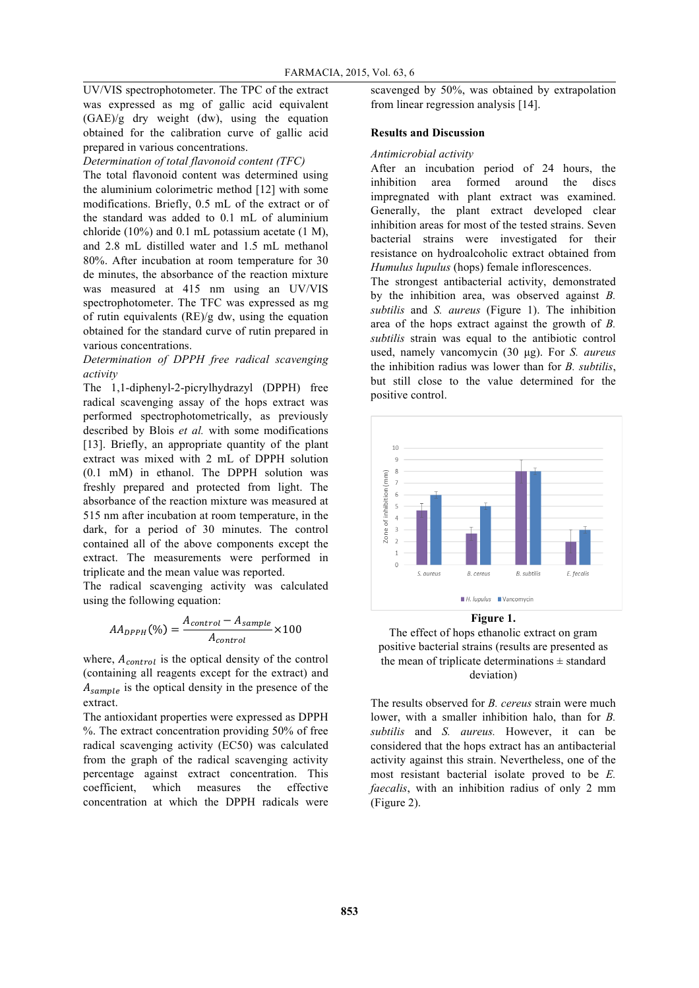UV/VIS spectrophotometer. The TPC of the extract was expressed as mg of gallic acid equivalent (GAE)/g dry weight (dw), using the equation obtained for the calibration curve of gallic acid prepared in various concentrations.

### *Determination of total flavonoid content (TFC)*

The total flavonoid content was determined using the aluminium colorimetric method [12] with some modifications. Briefly, 0.5 mL of the extract or of the standard was added to 0.1 mL of aluminium chloride (10%) and 0.1 mL potassium acetate (1 M), and 2.8 mL distilled water and 1.5 mL methanol 80%. After incubation at room temperature for 30 de minutes, the absorbance of the reaction mixture was measured at 415 nm using an UV/VIS spectrophotometer. The TFC was expressed as mg of rutin equivalents (RE)/g dw, using the equation obtained for the standard curve of rutin prepared in various concentrations.

### *Determination of DPPH free radical scavenging activity*

The 1,1-diphenyl-2-picrylhydrazyl (DPPH) free radical scavenging assay of the hops extract was performed spectrophotometrically, as previously described by Blois *et al.* with some modifications [13]. Briefly, an appropriate quantity of the plant extract was mixed with 2 mL of DPPH solution (0.1 mM) in ethanol. The DPPH solution was freshly prepared and protected from light. The absorbance of the reaction mixture was measured at 515 nm after incubation at room temperature, in the dark, for a period of 30 minutes. The control contained all of the above components except the extract. The measurements were performed in triplicate and the mean value was reported.

The radical scavenging activity was calculated using the following equation:

$$
AA_{DPPH}(\%) = \frac{A_{control} - A_{sample}}{A_{control}} \times 100
$$

where,  $A_{control}$  is the optical density of the control (containing all reagents except for the extract) and  $A_{sample}$  is the optical density in the presence of the extract.

The antioxidant properties were expressed as DPPH %. The extract concentration providing 50% of free radical scavenging activity (EC50) was calculated from the graph of the radical scavenging activity percentage against extract concentration. This coefficient, which measures the effective concentration at which the DPPH radicals were scavenged by 50%, was obtained by extrapolation from linear regression analysis [14].

### **Results and Discussion**

#### *Antimicrobial activity*

After an incubation period of 24 hours, the inhibition area formed around the discs impregnated with plant extract was examined. Generally, the plant extract developed clear inhibition areas for most of the tested strains. Seven bacterial strains were investigated for their resistance on hydroalcoholic extract obtained from *Humulus lupulus* (hops) female inflorescences.

The strongest antibacterial activity, demonstrated by the inhibition area, was observed against *B. subtilis* and *S. aureus* (Figure 1). The inhibition area of the hops extract against the growth of *B. subtilis* strain was equal to the antibiotic control used, namely vancomycin (30 µg). For *S. aureus*  the inhibition radius was lower than for *B. subtilis*, but still close to the value determined for the positive control.





The results observed for *B. cereus* strain were much lower, with a smaller inhibition halo, than for *B. subtilis* and *S. aureus.* However, it can be considered that the hops extract has an antibacterial activity against this strain. Nevertheless, one of the most resistant bacterial isolate proved to be *E. faecalis*, with an inhibition radius of only 2 mm (Figure 2).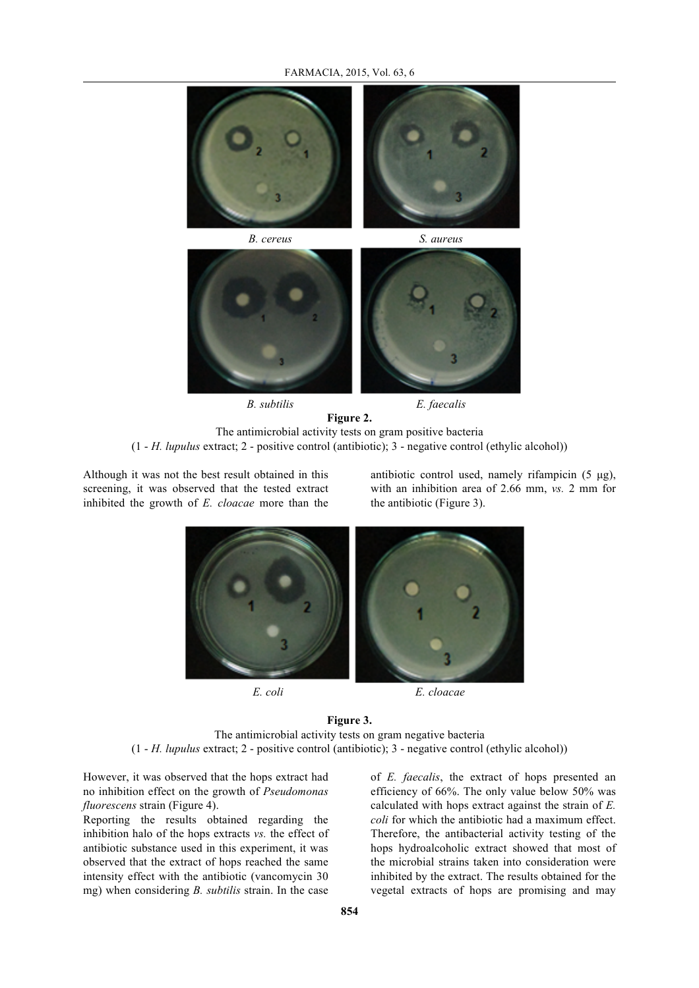



*B. subtilis E. faecalis*

**Figure 2.** The antimicrobial activity tests on gram positive bacteria (1 - *H. lupulus* extract; 2 - positive control (antibiotic); 3 - negative control (ethylic alcohol))

Although it was not the best result obtained in this screening, it was observed that the tested extract inhibited the growth of *E. cloacae* more than the antibiotic control used, namely rifampicin (5 µg), with an inhibition area of 2.66 mm, *vs.* 2 mm for the antibiotic (Figure 3).



**Figure 3.** The antimicrobial activity tests on gram negative bacteria (1 - *H. lupulus* extract; 2 - positive control (antibiotic); 3 - negative control (ethylic alcohol))

However, it was observed that the hops extract had no inhibition effect on the growth of *Pseudomonas fluorescens* strain (Figure 4).

Reporting the results obtained regarding the inhibition halo of the hops extracts *vs.* the effect of antibiotic substance used in this experiment, it was observed that the extract of hops reached the same intensity effect with the antibiotic (vancomycin 30 mg) when considering *B. subtilis* strain. In the case

of *E. faecalis*, the extract of hops presented an efficiency of 66%. The only value below 50% was calculated with hops extract against the strain of *E. coli* for which the antibiotic had a maximum effect. Therefore, the antibacterial activity testing of the hops hydroalcoholic extract showed that most of the microbial strains taken into consideration were inhibited by the extract. The results obtained for the vegetal extracts of hops are promising and may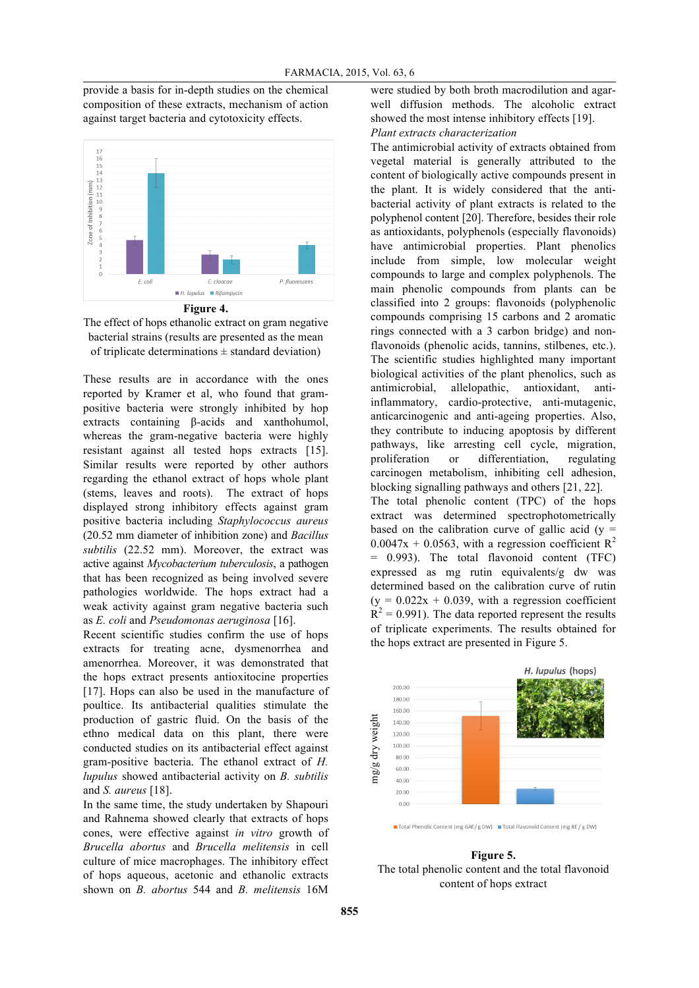provide a basis for in-depth studies on the chemical composition of these extracts, mechanism of action against target bacteria and cytotoxicity effects.





The effect of hops ethanolic extract on gram negative bacterial strains (results are presented as the mean of triplicate determinations  $\pm$  standard deviation)

These results are in accordance with the ones reported by Kramer et al, who found that grampositive bacteria were strongly inhibited by hop extracts containing β-acids and xanthohumol, whereas the gram-negative bacteria were highly resistant against all tested hops extracts [15]. Similar results were reported by other authors regarding the ethanol extract of hops whole plant (stems, leaves and roots). The extract of hops displayed strong inhibitory effects against gram positive bacteria including *Staphylococcus aureus* (20.52 mm diameter of inhibition zone) and *Bacillus subtilis* (22.52 mm). Moreover, the extract was active against *Mycobacterium tuberculosis*, a pathogen that has been recognized as being involved severe pathologies worldwide. The hops extract had a weak activity against gram negative bacteria such as *E. coli* and *Pseudomonas aeruginosa* [16].

Recent scientific studies confirm the use of hops extracts for treating acne, dysmenorrhea and amenorrhea. Moreover, it was demonstrated that the hops extract presents antioxitocine properties [17]. Hops can also be used in the manufacture of poultice. Its antibacterial qualities stimulate the production of gastric fluid. On the basis of the ethno medical data on this plant, there were conducted studies on its antibacterial effect against gram-positive bacteria. The ethanol extract of *H. lupulus* showed antibacterial activity on *B. subtilis* and *S. aureus* [18].

In the same time, the study undertaken by Shapouri and Rahnema showed clearly that extracts of hops cones, were effective against *in vitro* growth of *Brucella abortus* and *Brucella melitensis* in cell culture of mice macrophages. The inhibitory effect of hops aqueous, acetonic and ethanolic extracts shown on *B. abortus* 544 and *B. melitensis* 16M

were studied by both broth macrodilution and agarwell diffusion methods. The alcoholic extract showed the most intense inhibitory effects [19]. *Plant extracts characterization*

The antimicrobial activity of extracts obtained from vegetal material is generally attributed to the content of biologically active compounds present in the plant. It is widely considered that the antibacterial activity of plant extracts is related to the polyphenol content [20]. Therefore, besides their role as antioxidants, polyphenols (especially flavonoids) have antimicrobial properties. Plant phenolics include from simple, low molecular weight compounds to large and complex polyphenols. The main phenolic compounds from plants can be classified into 2 groups: flavonoids (polyphenolic compounds comprising 15 carbons and 2 aromatic rings connected with a 3 carbon bridge) and nonflavonoids (phenolic acids, tannins, stilbenes, etc.). The scientific studies highlighted many important biological activities of the plant phenolics, such as antimicrobial, allelopathic, antioxidant, antiinflammatory, cardio-protective, anti-mutagenic, anticarcinogenic and anti-ageing properties. Also, they contribute to inducing apoptosis by different pathways, like arresting cell cycle, migration, proliferation or differentiation, regulating carcinogen metabolism, inhibiting cell adhesion, blocking signalling pathways and others [21, 22]. The total phenolic content (TPC) of the hops extract was determined spectrophotometrically based on the calibration curve of gallic acid  $(y =$  $0.0047x + 0.0563$ , with a regression coefficient R<sup>2</sup> = 0.993). The total flavonoid content (TFC)

expressed as mg rutin equivalents/g dw was determined based on the calibration curve of rutin  $(y = 0.022x + 0.039$ , with a regression coefficient  $R^2 = 0.991$ ). The data reported represent the results of triplicate experiments. The results obtained for the hops extract are presented in Figure 5.



**Figure 5.** The total phenolic content and the total flavonoid content of hops extract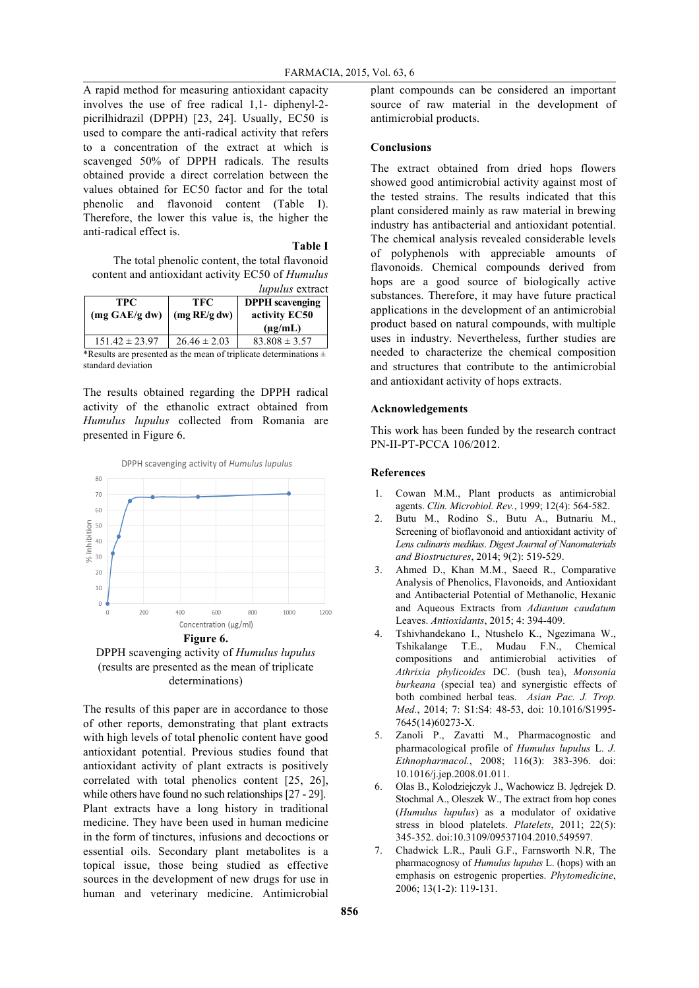A rapid method for measuring antioxidant capacity involves the use of free radical 1,1- diphenyl-2 picrilhidrazil (DPPH) [23, 24]. Usually, EC50 is used to compare the anti-radical activity that refers to a concentration of the extract at which is scavenged 50% of DPPH radicals. The results obtained provide a direct correlation between the values obtained for EC50 factor and for the total phenolic and flavonoid content (Table I). Therefore, the lower this value is, the higher the anti-radical effect is.

#### **Table I**

The total phenolic content, the total flavonoid content and antioxidant activity EC50 of *Humulus lupulus* extract

|                    |                  | <i>lupulus</i> cattact |
|--------------------|------------------|------------------------|
| TPC.               | TFC.             | <b>DPPH</b> scavenging |
| (mg GAE/g dw)      | $\log RE/g$ dw)  | activity EC50          |
|                    |                  | $(\mu g/mL)$           |
| $151.42 \pm 23.97$ | $26.46 \pm 2.03$ | $83.808 \pm 3.57$      |

\*Results are presented as the mean of triplicate determinations  $\pm$ standard deviation

The results obtained regarding the DPPH radical activity of the ethanolic extract obtained from *Humulus lupulus* collected from Romania are presented in Figure 6.



DPPH scavenging activity of *Humulus lupulus* (results are presented as the mean of triplicate determinations)

The results of this paper are in accordance to those of other reports, demonstrating that plant extracts with high levels of total phenolic content have good antioxidant potential. Previous studies found that antioxidant activity of plant extracts is positively correlated with total phenolics content [25, 26], while others have found no such relationships  $[27 - 29]$ . Plant extracts have a long history in traditional medicine. They have been used in human medicine in the form of tinctures, infusions and decoctions or essential oils. Secondary plant metabolites is a topical issue, those being studied as effective sources in the development of new drugs for use in human and veterinary medicine. Antimicrobial

plant compounds can be considered an important source of raw material in the development of antimicrobial products.

#### **Conclusions**

The extract obtained from dried hops flowers showed good antimicrobial activity against most of the tested strains. The results indicated that this plant considered mainly as raw material in brewing industry has antibacterial and antioxidant potential. The chemical analysis revealed considerable levels of polyphenols with appreciable amounts of flavonoids. Chemical compounds derived from hops are a good source of biologically active substances. Therefore, it may have future practical applications in the development of an antimicrobial product based on natural compounds, with multiple uses in industry. Nevertheless, further studies are needed to characterize the chemical composition and structures that contribute to the antimicrobial and antioxidant activity of hops extracts.

#### **Acknowledgements**

This work has been funded by the research contract PN-II-PT-PCCA 106/2012.

#### **References**

- 1. Cowan M.M., Plant products as antimicrobial agents. *Clin. Microbiol. Rev.*, 1999; 12(4): 564-582.
- 2. Butu M., Rodino S., Butu A., Butnariu M., Screening of bioflavonoid and antioxidant activity of *Lens culinaris medikus*. *Digest Journal of Nanomaterials and Biostructures*, 2014; 9(2): 519-529.
- 3. Ahmed D., Khan M.M., Saeed R., Comparative Analysis of Phenolics, Flavonoids, and Antioxidant and Antibacterial Potential of Methanolic, Hexanic and Aqueous Extracts from *Adiantum caudatum* Leaves. *Antioxidants*, 2015; 4: 394-409.
- 4. Tshivhandekano I., Ntushelo K., Ngezimana W., Tshikalange T.E., Mudau F.N., Chemical compositions and antimicrobial activities of *Athrixia phylicoides* DC. (bush tea), *Monsonia burkeana* (special tea) and synergistic effects of both combined herbal teas. *Asian Pac. J. Trop. Med.*, 2014; 7: S1:S4: 48-53, doi: 10.1016/S1995- 7645(14)60273-X.
- 5. Zanoli P., Zavatti M., Pharmacognostic and pharmacological profile of *Humulus lupulus* L. *J. Ethnopharmacol.*, 2008; 116(3): 383-396. doi: 10.1016/j.jep.2008.01.011.
- 6. Olas B., Kolodziejczyk J., Wachowicz B. Jędrejek D. Stochmal A., Oleszek W., The extract from hop cones (*Humulus lupulus*) as a modulator of oxidative stress in blood platelets. *Platelets*, 2011; 22(5): 345-352. doi:10.3109/09537104.2010.549597.
- 7. Chadwick L.R., Pauli G.F., Farnsworth N.R, The pharmacognosy of *Humulus lupulus* L. (hops) with an emphasis on estrogenic properties. *Phytomedicine*, 2006; 13(1-2): 119-131.